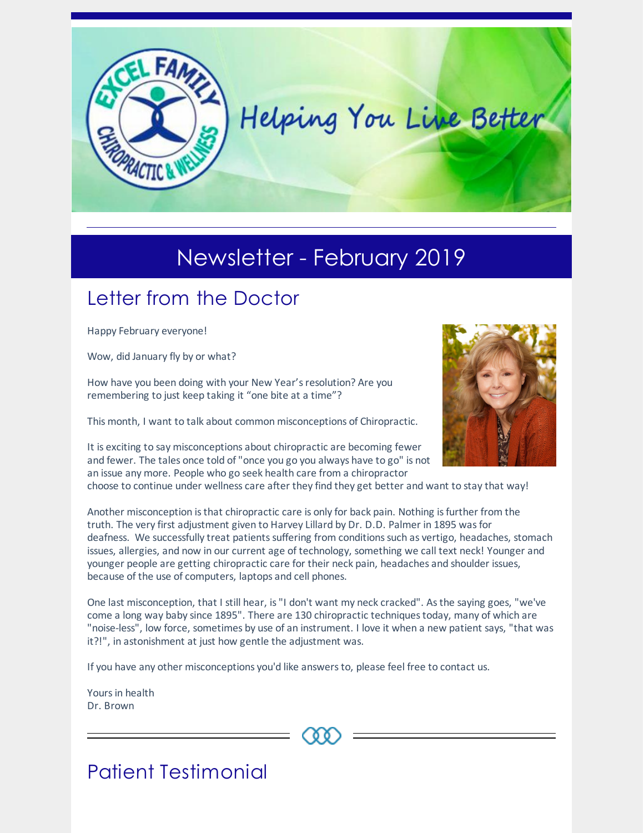

# Newsletter - February 2019

### Letter from the Doctor

Happy February everyone!

Wow, did January fly by or what?

How have you been doing with your New Year's resolution? Are you remembering to just keep taking it "one bite at a time"?

This month, I want to talk about common misconceptions of Chiropractic.

It is exciting to say misconceptions about chiropractic are becoming fewer and fewer. The tales once told of"once you go you always have to go" is not an issue any more. People who go seek health care from a chiropractor



choose to continue under wellness care after they find they get better and want to stay that way!

Another misconception isthat chiropractic care is only for back pain. Nothing isfurther from the truth. The very first adjustment given to Harvey Lillard by Dr. D.D. Palmer in 1895 wasfor deafness. We successfully treat patients suffering from conditions such as vertigo, headaches, stomach issues, allergies, and now in our current age of technology, something we call text neck! Younger and younger people are getting chiropractic care for their neck pain, headaches and shoulder issues, because of the use of computers, laptops and cell phones.

One last misconception, that I still hear, is"I don't want my neck cracked". Asthe saying goes, "we've come a long way baby since 1895". There are 130 chiropractic techniques today, many of which are "noise-less", low force, sometimes by use of an instrument. I love it when a new patient says, "that was it?!", in astonishment at just how gentle the adjustment was.

If you have any other misconceptions you'd like answersto, please feel free to contact us.

Yoursin health Dr. Brown



## Patient Testimonial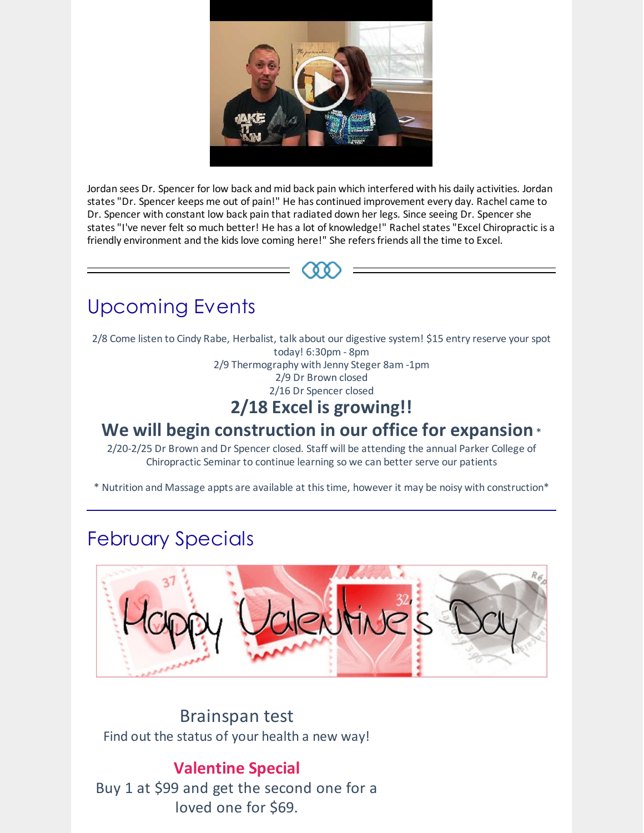

Jordan sees Dr. Spencer for low back and mid back pain which interfered with his daily activities. Jordan states"Dr. Spencer keeps me out of pain!" He has continued improvement every day. Rachel came to Dr. Spencer with constant low back pain that radiated down her legs. Since seeing Dr. Spencer she states"I've never felt so much better! He has a lot of knowledge!" Rachel states"Excel Chiropractic is a friendly environment and the kids love coming here!" She refers friends all the time to Excel.

# Upcoming Events

2/8 Come listen to Cindy Rabe, Herbalist, talk about our digestive system! \$15 entry reserve your spot today! 6:30pm - 8pm 2/9 Thermography with Jenny Steger 8am -1pm 2/9 Dr Brown closed

2/16 Dr Spencer closed

#### **2/18 Excel is growing!!**

#### **We will begin construction in our office for expansion** \*

2/20-2/25 Dr Brown and Dr Spencer closed. Staff will be attending the annual Parker College of Chiropractic Seminar to continue learning so we can better serve our patients

\* Nutrition and Massage appts are available at thistime, however it may be noisy with construction\*

### February Specials



Brainspan test Find out the status of your health a new way!

#### **Valentine Special**

Buy 1 at \$99 and get the second one for a loved one for \$69.